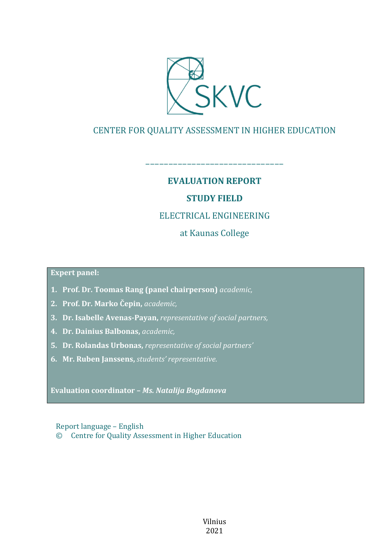

# CENTER FOR QUALITY ASSESSMENT IN HIGHER EDUCATION

# **EVALUATION REPORT**

––––––––––––––––––––––––––––––

# **STUDY FIELD**

# ELECTRICAL ENGINEERING

at Kaunas College

**Expert panel:**

- **1. Prof. Dr. Toomas Rang (panel chairperson)** *academic,*
- **2. Prof. Dr. Marko Čepin,** *academic,*
- **3. Dr. Isabelle Avenas-Payan,** *representative of social partners,*
- **4. Dr. Dainius Balbonas,** *academic,*
- **5. Dr. Rolandas Urbonas,** *representative of social partners'*
- **6. Mr. Ruben Janssens,** *students' representative*.

**Evaluation coordinator –** *Ms. Natalija Bogdanova*

Report language – English © Centre for Quality Assessment in Higher Education

> Vilnius 2021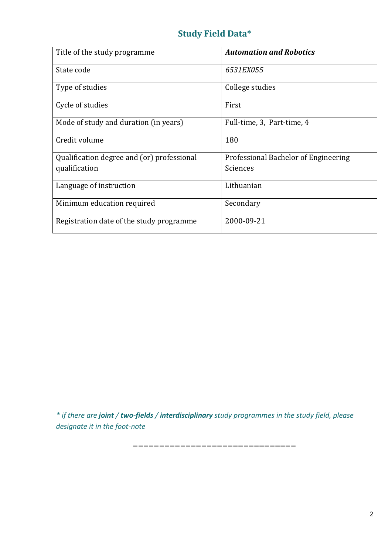# **Study Field Data\***

| Title of the study programme               | <b>Automation and Robotics</b>       |
|--------------------------------------------|--------------------------------------|
| State code                                 | 6531EX055                            |
| Type of studies                            | College studies                      |
| Cycle of studies                           | First                                |
| Mode of study and duration (in years)      | Full-time, 3, Part-time, 4           |
| Credit volume                              | 180                                  |
| Qualification degree and (or) professional | Professional Bachelor of Engineering |
| qualification                              | Sciences                             |
| Language of instruction                    | Lithuanian                           |
| Minimum education required                 | Secondary                            |
| Registration date of the study programme   | 2000-09-21                           |

*\* if there are joint / two-fields / interdisciplinary study programmes in the study field, please designate it in the foot-note*

–––––––––––––––––––––––––––––––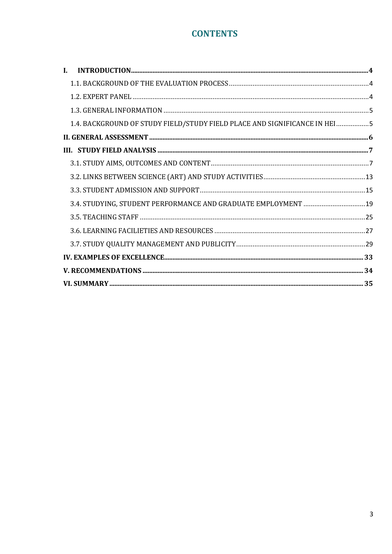# **CONTENTS**

| $\mathbf{I}$ .                                                            |  |
|---------------------------------------------------------------------------|--|
|                                                                           |  |
|                                                                           |  |
|                                                                           |  |
| 1.4. BACKGROUND OF STUDY FIELD/STUDY FIELD PLACE AND SIGNIFICANCE IN HEI5 |  |
|                                                                           |  |
|                                                                           |  |
|                                                                           |  |
|                                                                           |  |
|                                                                           |  |
| 3.4. STUDYING, STUDENT PERFORMANCE AND GRADUATE EMPLOYMENT  19            |  |
|                                                                           |  |
|                                                                           |  |
|                                                                           |  |
|                                                                           |  |
|                                                                           |  |
|                                                                           |  |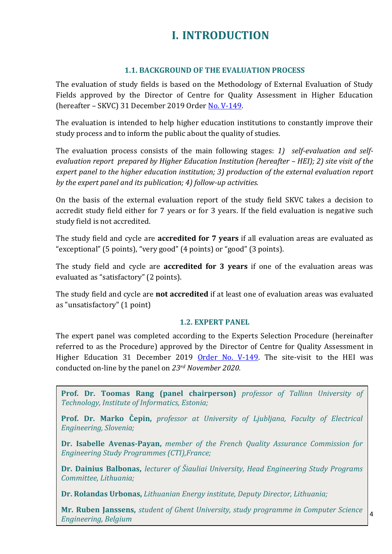# **I. INTRODUCTION**

#### **1.1. BACKGROUND OF THE EVALUATION PROCESS**

<span id="page-3-1"></span><span id="page-3-0"></span>The evaluation of study fields is based on the Methodology of External Evaluation of Study Fields approved by the Director of Centre for Quality Assessment in Higher Education (hereafter – SKVC) 31 December 2019 Order [No. V-149.](https://www.skvc.lt/uploads/lawacts/docs/352_67a9ef6994827300f90385d1fdd321f1.pdf)

The evaluation is intended to help higher education institutions to constantly improve their study process and to inform the public about the quality of studies.

The evaluation process consists of the main following stages: *1) self-evaluation and selfevaluation report prepared by Higher Education Institution (hereafter - HEI); 2) site visit of the expert panel to the higher education institution; 3) production of the external evaluation report by the expert panel and its publication; 4) follow-up activities.* 

On the basis of the external evaluation report of the study field SKVC takes a decision to accredit study field either for 7 years or for 3 years. If the field evaluation is negative such study field is not accredited.

The study field and cycle are **accredited for 7 years** if all evaluation areas are evaluated as "exceptional" (5 points), "very good" (4 points) or "good" (3 points).

The study field and cycle are **accredited for 3 years** if one of the evaluation areas was evaluated as "satisfactory" (2 points).

The study field and cycle are **not accredited** if at least one of evaluation areas was evaluated as "unsatisfactory" (1 point)

#### **1.2. EXPERT PANEL**

<span id="page-3-2"></span>The expert panel was completed according to the Experts Selection Procedure (hereinafter referred to as the Procedure) approved by the Director of Centre for Quality Assessment in Higher Education 31 December 2019 [Order No. V-149.](https://www.skvc.lt/uploads/lawacts/docs/349_3c24730602f3906bb3af174e1e94badb.pdf) The site-visit to the HEI was conducted on-line by the panel on *23rd November 2020.*

**Prof. Dr. Toomas Rang (panel chairperson)** *professor of Tallinn University of Technology, Institute of Informatics, Estonia;*

**Prof. Dr. Marko Čepin,** *professor at University of Ljubljana, Faculty of Electrical Engineering, Slovenia;*

**Dr. Isabelle Avenas-Payan,** *member of the French Quality Assurance Commission for Engineering Study Programmes (CTI),France;*

**Dr. Dainius Balbonas,** *lecturer of Šiauliai University, Head Engineering Study Programs Committee, Lithuania;*

**Dr. Rolandas Urbonas,** *Lithuanian Energy institute, Deputy Director, Lithuania;*

**Mr. Ruben Janssens,** *student of Ghent University, study programme in Computer Science Engineering, Belgium*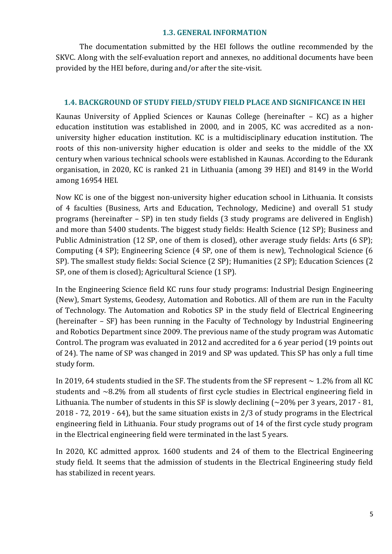#### **1.3. GENERAL INFORMATION**

<span id="page-4-0"></span>The documentation submitted by the HEI follows the outline recommended by the SKVC. Along with the self-evaluation report and annexes, no additional documents have been provided by the HEI before, during and/or after the site-visit.

#### <span id="page-4-1"></span>**1.4. BACKGROUND OF STUDY FIELD/STUDY FIELD PLACE AND SIGNIFICANCE IN HEI**

Kaunas University of Applied Sciences or Kaunas College (hereinafter – KC) as a higher education institution was established in 2000, and in 2005, KC was accredited as a nonuniversity higher education institution. KC is a multidisciplinary education institution. The roots of this non-university higher education is older and seeks to the middle of the XX century when various technical schools were established in Kaunas. According to the Edurank organisation, in 2020, KC is ranked 21 in Lithuania (among 39 HEI) and 8149 in the World among 16954 HEI.

Now KC is one of the biggest non-university higher education school in Lithuania. It consists of 4 faculties (Business, Arts and Education, Technology, Medicine) and overall 51 study programs (hereinafter – SP) in ten study fields (3 study programs are delivered in English) and more than 5400 students. The biggest study fields: Health Science (12 SP); Business and Public Administration (12 SP, one of them is closed), other average study fields: Arts (6 SP); Computing (4 SP); Engineering Science (4 SP, one of them is new), Technological Science (6 SP). The smallest study fields: Social Science (2 SP); Humanities (2 SP); Education Sciences (2 SP, one of them is closed); Agricultural Science (1 SP).

In the Engineering Science field KC runs four study programs: Industrial Design Engineering (New), Smart Systems, Geodesy, Automation and Robotics. All of them are run in the Faculty of Technology. The Automation and Robotics SP in the study field of Electrical Engineering (hereinafter – SF) has been running in the Faculty of Technology by Industrial Engineering and Robotics Department since 2009. The previous name of the study program was Automatic Control. The program was evaluated in 2012 and accredited for a 6 year period (19 points out of 24). The name of SP was changed in 2019 and SP was updated. This SP has only a full time study form.

In 2019, 64 students studied in the SF. The students from the SF represent  $\sim$  1.2% from all KC students and ~8.2% from all students of first cycle studies in Electrical engineering field in Lithuania. The number of students in this SF is slowly declining  $\left(\sim 20\%$  per 3 years, 2017 - 81, 2018 - 72, 2019 - 64), but the same situation exists in 2/3 of study programs in the Electrical engineering field in Lithuania. Four study programs out of 14 of the first cycle study program in the Electrical engineering field were terminated in the last 5 years.

In 2020, KC admitted approx. 1600 students and 24 of them to the Electrical Engineering study field. It seems that the admission of students in the Electrical Engineering study field has stabilized in recent years.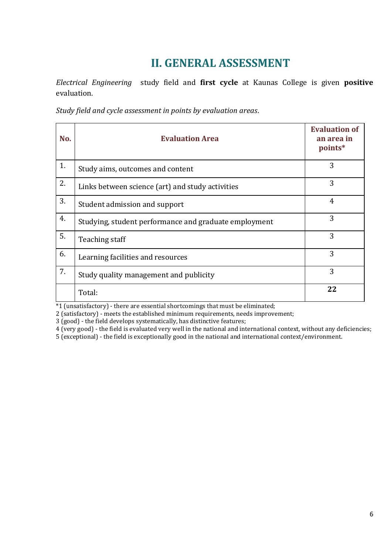# **II. GENERAL ASSESSMENT**

<span id="page-5-0"></span>*Electrical Engineering* study field and **first cycle** at Kaunas College is given **positive** evaluation.

*Study field and cycle assessment in points by evaluation areas*.

| No. | <b>Evaluation Area</b>                                | <b>Evaluation of</b><br>an area in<br>points* |
|-----|-------------------------------------------------------|-----------------------------------------------|
| 1.  | Study aims, outcomes and content                      | 3                                             |
| 2.  | Links between science (art) and study activities      | 3                                             |
| 3.  | Student admission and support                         | $\overline{4}$                                |
| 4.  | Studying, student performance and graduate employment | 3                                             |
| 5.  | Teaching staff                                        | 3                                             |
| 6.  | Learning facilities and resources                     | 3                                             |
| 7.  | Study quality management and publicity                | 3                                             |
|     | Total:                                                | 22                                            |

\*1 (unsatisfactory) - there are essential shortcomings that must be eliminated;

2 (satisfactory) - meets the established minimum requirements, needs improvement;

3 (good) - the field develops systematically, has distinctive features;

4 (very good) - the field is evaluated very well in the national and international context, without any deficiencies;

5 (exceptional) - the field is exceptionally good in the national and international context/environment.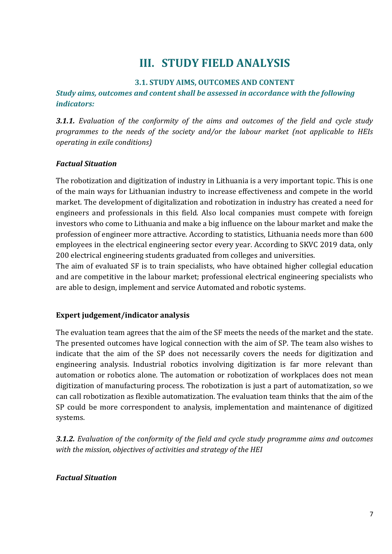# **III. STUDY FIELD ANALYSIS**

#### **3.1. STUDY AIMS, OUTCOMES AND CONTENT**

<span id="page-6-1"></span><span id="page-6-0"></span>*Study aims, outcomes and content shall be assessed in accordance with the following indicators:*

*3.1.1. Evaluation of the conformity of the aims and outcomes of the field and cycle study programmes to the needs of the society and/or the labour market (not applicable to HEIs operating in exile conditions)*

#### *Factual Situation*

The robotization and digitization of industry in Lithuania is a very important topic. This is one of the main ways for Lithuanian industry to increase effectiveness and compete in the world market. The development of digitalization and robotization in industry has created a need for engineers and professionals in this field. Also local companies must compete with foreign investors who come to Lithuania and make a big influence on the labour market and make the profession of engineer more attractive. According to statistics, Lithuania needs more than 600 employees in the electrical engineering sector every year. According to SKVC 2019 data, only 200 electrical engineering students graduated from colleges and universities.

The aim of evaluated SF is to train specialists, who have obtained higher collegial education and are competitive in the labour market; professional electrical engineering specialists who are able to design, implement and service Automated and robotic systems.

#### **Expert judgement/indicator analysis**

The evaluation team agrees that the aim of the SF meets the needs of the market and the state. The presented outcomes have logical connection with the aim of SP. The team also wishes to indicate that the aim of the SP does not necessarily covers the needs for digitization and engineering analysis. Industrial robotics involving digitization is far more relevant than automation or robotics alone. The automation or robotization of workplaces does not mean digitization of manufacturing process. The robotization is just a part of automatization, so we can call robotization as flexible automatization. The evaluation team thinks that the aim of the SP could be more correspondent to analysis, implementation and maintenance of digitized systems.

*3.1.2. Evaluation of the conformity of the field and cycle study programme aims and outcomes with the mission, objectives of activities and strategy of the HEI*

### *Factual Situation*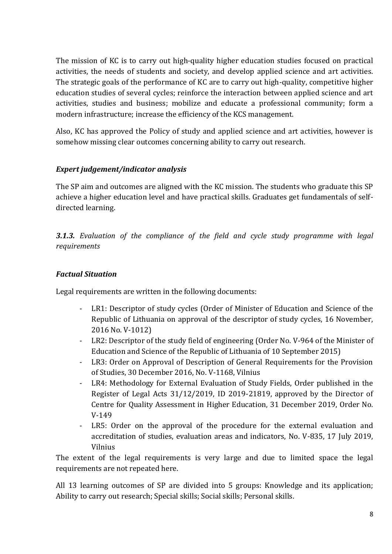The mission of KC is to carry out high-quality higher education studies focused on practical activities, the needs of students and society, and develop applied science and art activities. The strategic goals of the performance of KC are to carry out high-quality, competitive higher education studies of several cycles; reinforce the interaction between applied science and art activities, studies and business; mobilize and educate a professional community; form a modern infrastructure; increase the efficiency of the KCS management.

Also, KC has approved the Policy of study and applied science and art activities, however is somehow missing clear outcomes concerning ability to carry out research.

# *Expert judgement/indicator analysis*

The SP aim and outcomes are aligned with the KC mission. The students who graduate this SP achieve a higher education level and have practical skills. Graduates get fundamentals of selfdirected learning.

*3.1.3. Evaluation of the compliance of the field and cycle study programme with legal requirements*

## *Factual Situation*

Legal requirements are written in the following documents:

- LR1: Descriptor of study cycles (Order of Minister of Education and Science of the Republic of Lithuania on approval of the descriptor of study cycles, 16 November, 2016 No. V-1012)
- LR2: Descriptor of the study field of engineering (Order No. V-964 of the Minister of Education and Science of the Republic of Lithuania of 10 September 2015)
- LR3: Order on Approval of Description of General Requirements for the Provision of Studies, 30 December 2016, No. V-1168, Vilnius
- LR4: Methodology for External Evaluation of Study Fields, Order published in the Register of Legal Acts 31/12/2019, ID 2019-21819, approved by the Director of Centre for Quality Assessment in Higher Education, 31 December 2019, Order No. V-149
- LR5: Order on the approval of the procedure for the external evaluation and accreditation of studies, evaluation areas and indicators, No. V-835, 17 July 2019, Vilnius

The extent of the legal requirements is very large and due to limited space the legal requirements are not repeated here.

All 13 learning outcomes of SP are divided into 5 groups: Knowledge and its application; Ability to carry out research; Special skills; Social skills; Personal skills.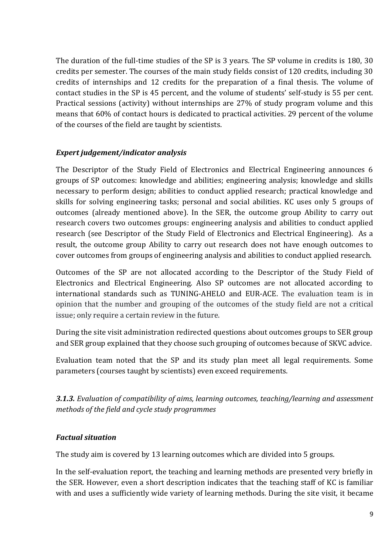The duration of the full-time studies of the SP is 3 years. The SP volume in credits is 180, 30 credits per semester. The courses of the main study fields consist of 120 credits, including 30 credits of internships and 12 credits for the preparation of a final thesis. The volume of contact studies in the SP is 45 percent, and the volume of students' self-study is 55 per cent. Practical sessions (activity) without internships are 27% of study program volume and this means that 60% of contact hours is dedicated to practical activities. 29 percent of the volume of the courses of the field are taught by scientists.

### *Expert judgement/indicator analysis*

The Descriptor of the Study Field of Electronics and Electrical Engineering announces 6 groups of SP outcomes: knowledge and abilities; engineering analysis; knowledge and skills necessary to perform design; abilities to conduct applied research; practical knowledge and skills for solving engineering tasks; personal and social abilities. KC uses only 5 groups of outcomes (already mentioned above). In the SER, the outcome group Ability to carry out research covers two outcomes groups: engineering analysis and abilities to conduct applied research (see Descriptor of the Study Field of Electronics and Electrical Engineering). As a result, the outcome group Ability to carry out research does not have enough outcomes to cover outcomes from groups of engineering analysis and abilities to conduct applied research.

Outcomes of the SP are not allocated according to the Descriptor of the Study Field of Electronics and Electrical Engineering. Also SP outcomes are not allocated according to international standards such as TUNING-AHELO and EUR-ACE. The evaluation team is in opinion that the number and grouping of the outcomes of the study field are not a critical issue; only require a certain review in the future.

During the site visit administration redirected questions about outcomes groups to SER group and SER group explained that they choose such grouping of outcomes because of SKVC advice.

Evaluation team noted that the SP and its study plan meet all legal requirements. Some parameters (courses taught by scientists) even exceed requirements.

*3.1.3. Evaluation of compatibility of aims, learning outcomes, teaching/learning and assessment methods of the field and cycle study programmes*

### *Factual situation*

The study aim is covered by 13 learning outcomes which are divided into 5 groups.

In the self-evaluation report, the teaching and learning methods are presented very briefly in the SER. However, even a short description indicates that the teaching staff of KC is familiar with and uses a sufficiently wide variety of learning methods. During the site visit, it became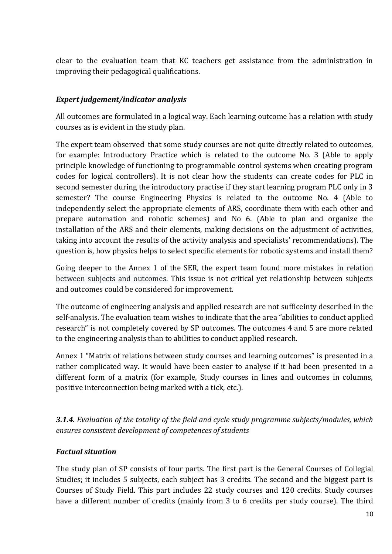clear to the evaluation team that KC teachers get assistance from the administration in improving their pedagogical qualifications.

## *Expert judgement/indicator analysis*

All outcomes are formulated in a logical way. Each learning outcome has a relation with study courses as is evident in the study plan.

The expert team observed that some study courses are not quite directly related to outcomes, for example: Introductory Practice which is related to the outcome No. 3 (Able to apply principle knowledge of functioning to programmable control systems when creating program codes for logical controllers). It is not clear how the students can create codes for PLC in second semester during the introductory practise if they start learning program PLC only in 3 semester? The course Engineering Physics is related to the outcome No. 4 (Able to independently select the appropriate elements of ARS, coordinate them with each other and prepare automation and robotic schemes) and No 6. (Able to plan and organize the installation of the ARS and their elements, making decisions on the adjustment of activities, taking into account the results of the activity analysis and specialists' recommendations). The question is, how physics helps to select specific elements for robotic systems and install them?

Going deeper to the Annex 1 of the SER, the expert team found more mistakes in relation between subjects and outcomes. This issue is not critical yet relationship between subjects and outcomes could be considered for improvement.

The outcome of engineering analysis and applied research are not sufficeinty described in the self-analysis. The evaluation team wishes to indicate that the area "abilities to conduct applied research" is not completely covered by SP outcomes. The outcomes 4 and 5 are more related to the engineering analysis than to abilities to conduct applied research.

Annex 1 "Matrix of relations between study courses and learning outcomes" is presented in a rather complicated way. It would have been easier to analyse if it had been presented in a different form of a matrix (for example, Study courses in lines and outcomes in columns, positive interconnection being marked with a tick, etc.).

*3.1.4. Evaluation of the totality of the field and cycle study programme subjects/modules, which ensures consistent development of competences of students*

### *Factual situation*

The study plan of SP consists of four parts. The first part is the General Courses of Collegial Studies; it includes 5 subjects, each subject has 3 credits. The second and the biggest part is Courses of Study Field. This part includes 22 study courses and 120 credits. Study courses have a different number of credits (mainly from 3 to 6 credits per study course). The third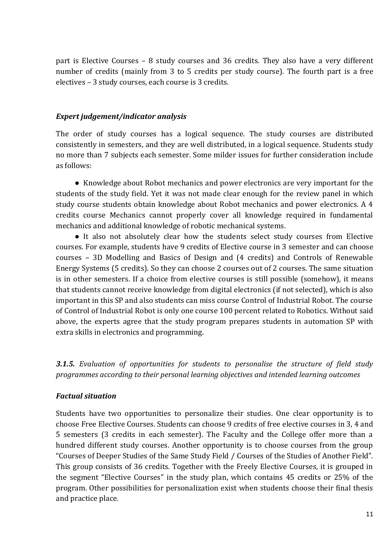part is Elective Courses – 8 study courses and 36 credits. They also have a very different number of credits (mainly from 3 to 5 credits per study course). The fourth part is a free electives – 3 study courses, each course is 3 credits.

#### *Expert judgement/indicator analysis*

The order of study courses has a logical sequence. The study courses are distributed consistently in semesters, and they are well distributed, in a logical sequence. Students study no more than 7 subjects each semester. Some milder issues for further consideration include as follows:

● Knowledge about Robot mechanics and power electronics are very important for the students of the study field. Yet it was not made clear enough for the review panel in which study course students obtain knowledge about Robot mechanics and power electronics. A 4 credits course Mechanics cannot properly cover all knowledge required in fundamental mechanics and additional knowledge of robotic mechanical systems.

● It also not absolutely clear how the students select study courses from Elective courses. For example, students have 9 credits of Elective course in 3 semester and can choose courses – 3D Modelling and Basics of Design and (4 credits) and Controls of Renewable Energy Systems (5 credits). So they can choose 2 courses out of 2 courses. The same situation is in other semesters. If a choice from elective courses is still possible (somehow), it means that students cannot receive knowledge from digital electronics (if not selected), which is also important in this SP and also students can miss course Control of Industrial Robot. The course of Control of Industrial Robot is only one course 100 percent related to Robotics. Without said above, the experts agree that the study program prepares students in automation SP with extra skills in electronics and programming.

*3.1.5. Evaluation of opportunities for students to personalise the structure of field study programmes according to their personal learning objectives and intended learning outcomes*

### *Factual situation*

Students have two opportunities to personalize their studies. One clear opportunity is to choose Free Elective Courses. Students can choose 9 credits of free elective courses in 3, 4 and 5 semesters (3 credits in each semester). The Faculty and the College offer more than a hundred different study courses. Another opportunity is to choose courses from the group "Courses of Deeper Studies of the Same Study Field / Courses of the Studies of Another Field". This group consists of 36 credits. Together with the Freely Elective Courses, it is grouped in the segment "Elective Courses" in the study plan, which contains 45 credits or 25% of the program. Other possibilities for personalization exist when students choose their final thesis and practice place.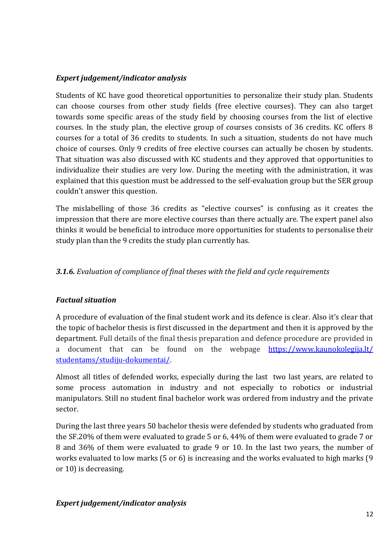## *Expert judgement/indicator analysis*

Students of KC have good theoretical opportunities to personalize their study plan. Students can choose courses from other study fields (free elective courses). They can also target towards some specific areas of the study field by choosing courses from the list of elective courses. In the study plan, the elective group of courses consists of 36 credits. KC offers 8 courses for a total of 36 credits to students. In such a situation, students do not have much choice of courses. Only 9 credits of free elective courses can actually be chosen by students. That situation was also discussed with KC students and they approved that opportunities to individualize their studies are very low. During the meeting with the administration, it was explained that this question must be addressed to the self-evaluation group but the SER group couldn't answer this question.

The mislabelling of those 36 credits as "elective courses" is confusing as it creates the impression that there are more elective courses than there actually are. The expert panel also thinks it would be beneficial to introduce more opportunities for students to personalise their study plan than the 9 credits the study plan currently has.

# *3.1.6. Evaluation of compliance of final theses with the field and cycle requirements*

### *Factual situation*

A procedure of evaluation of the final student work and its defence is clear. Also it's clear that the topic of bachelor thesis is first discussed in the department and then it is approved by the department. Full details of the final thesis preparation and defence procedure are provided in a document that can be found on the webpage https://www.kaunokolegija.lt/ [studentams/studiju-dokumentai/.](https://www.kaunokolegija.lt/%20studentams/studiju-dokumentai/) 

Almost all titles of defended works, especially during the last two last years, are related to some process automation in industry and not especially to robotics or industrial manipulators. Still no student final bachelor work was ordered from industry and the private sector.

During the last three years 50 bachelor thesis were defended by students who graduated from the SF.20% of them were evaluated to grade 5 or 6, 44% of them were evaluated to grade 7 or 8 and 36% of them were evaluated to grade 9 or 10. In the last two years, the number of works evaluated to low marks (5 or 6) is increasing and the works evaluated to high marks (9 or 10) is decreasing.

### *Expert judgement/indicator analysis*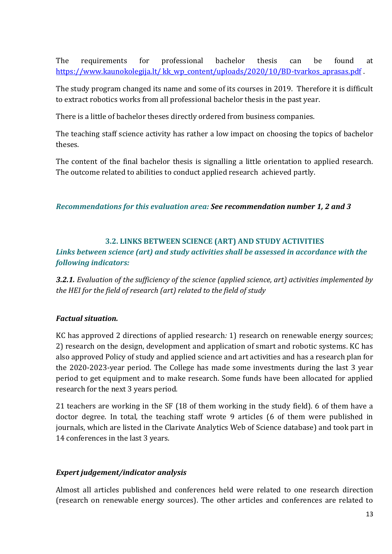The requirements for professional bachelor thesis can be found at https://www.kaunokolegija.lt/ kk\_wp\_content/uploads/2020/10/BD-tvarkos\_aprasas.pdf .

The study program changed its name and some of its courses in 2019. Therefore it is difficult to extract robotics works from all professional bachelor thesis in the past year.

There is a little of bachelor theses directly ordered from business companies.

The teaching staff science activity has rather a low impact on choosing the topics of bachelor theses.

The content of the final bachelor thesis is signalling a little orientation to applied research. The outcome related to abilities to conduct applied research achieved partly.

*Recommendations for this evaluation area: See recommendation number 1, 2 and 3*

# **3.2. LINKS BETWEEN SCIENCE (ART) AND STUDY ACTIVITIES**

<span id="page-12-0"></span>*Links between science (art) and study activities shall be assessed in accordance with the following indicators:*

*3.2.1. Evaluation of the sufficiency of the science (applied science, art) activities implemented by the HEI for the field of research (art) related to the field of study*

# *Factual situation.*

KC has approved 2 directions of applied research*:* 1) research on renewable energy sources; 2) research on the design, development and application of smart and robotic systems. KC has also approved Policy of study and applied science and art activities and has a research plan for the 2020-2023-year period. The College has made some investments during the last 3 year period to get equipment and to make research. Some funds have been allocated for applied research for the next 3 years period.

21 teachers are working in the SF (18 of them working in the study field). 6 of them have a doctor degree. In total, the teaching staff wrote 9 articles (6 of them were published in journals, which are listed in the Clarivate Analytics Web of Science database) and took part in 14 conferences in the last 3 years.

# *Expert judgement/indicator analysis*

Almost all articles published and conferences held were related to one research direction (research on renewable energy sources). The other articles and conferences are related to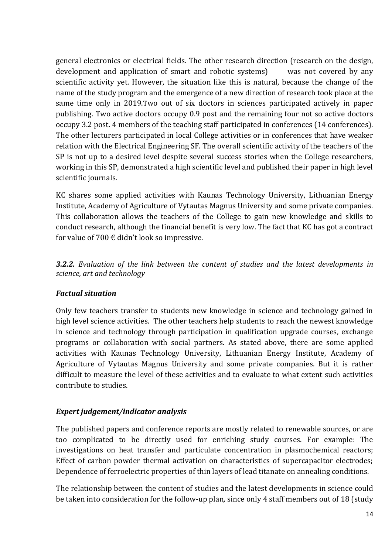general electronics or electrical fields. The other research direction (research on the design, development and application of smart and robotic systems) was not covered by any scientific activity yet. However, the situation like this is natural, because the change of the name of the study program and the emergence of a new direction of research took place at the same time only in 2019.Two out of six doctors in sciences participated actively in paper publishing. Two active doctors occupy 0.9 post and the remaining four not so active doctors occupy 3.2 post. 4 members of the teaching staff participated in conferences (14 conferences). The other lecturers participated in local College activities or in conferences that have weaker relation with the Electrical Engineering SF. The overall scientific activity of the teachers of the SP is not up to a desired level despite several success stories when the College researchers, working in this SP, demonstrated a high scientific level and published their paper in high level scientific journals.

KC shares some applied activities with Kaunas Technology University, Lithuanian Energy Institute, Academy of Agriculture of Vytautas Magnus University and some private companies. This collaboration allows the teachers of the College to gain new knowledge and skills to conduct research, although the financial benefit is very low. The fact that KC has got a contract for value of 700  $\epsilon$  didn't look so impressive.

*3.2.2. Evaluation of the link between the content of studies and the latest developments in science, art and technology*

### *Factual situation*

Only few teachers transfer to students new knowledge in science and technology gained in high level science activities. The other teachers help students to reach the newest knowledge in science and technology through participation in qualification upgrade courses, exchange programs or collaboration with social partners. As stated above, there are some applied activities with Kaunas Technology University, Lithuanian Energy Institute, Academy of Agriculture of Vytautas Magnus University and some private companies. But it is rather difficult to measure the level of these activities and to evaluate to what extent such activities contribute to studies.

### *Expert judgement/indicator analysis*

The published papers and conference reports are mostly related to renewable sources, or are too complicated to be directly used for enriching study courses. For example: The investigations on heat transfer and particulate concentration in plasmochemical reactors; Effect of carbon powder thermal activation on characteristics of supercapacitor electrodes; Dependence of ferroelectric properties of thin layers of lead titanate on annealing conditions.

The relationship between the content of studies and the latest developments in science could be taken into consideration for the follow-up plan*,* since only 4 staff members out of 18 (study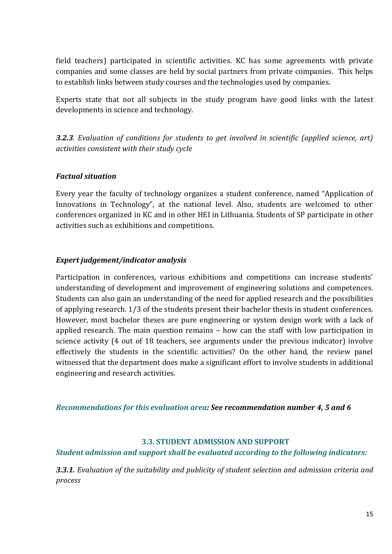field teachers) participated in scientific activities. KC has some agreements with private companies and some classes are held by social partners from private companies. This helps to establish links between study courses and the technologies used by companies.

Experts state that not all subjects in the study program have good links with the latest developments in science and technology.

*3.2.3. Evaluation of conditions for students to get involved in scientific (applied science, art) activities consistent with their study cycle*

#### *Factual situation*

Every year the faculty of technology organizes a student conference, named "Application of Innovations in Technology", at the national level. Also, students are welcomed to other conferences organized in KC and in other HEI in Lithuania. Students of SP participate in other activities such as exhibitions and competitions.

#### *Expert judgement/indicator analysis*

Participation in conferences, various exhibitions and competitions can increase students' understanding of development and improvement of engineering solutions and competences. Students can also gain an understanding of the need for applied research and the possibilities of applying research. 1/3 of the students present their bachelor thesis in student conferences. However, most bachelor theses are pure engineering or system design work with a lack of applied research. The main question remains – how can the staff with low participation in science activity (4 out of 18 teachers, see arguments under the previous indicator) involve effectively the students in the scientific activities? On the other hand, the review panel witnessed that the department does make a significant effort to involve students in additional engineering and research activities.

*Recommendations for this evaluation area: See recommendation number 4, 5 and 6*

#### <span id="page-14-0"></span>**3.3. STUDENT ADMISSION AND SUPPORT**

#### *Student admission and support shall be evaluated according to the following indicators:*

*3.3.1. Evaluation of the suitability and publicity of student selection and admission criteria and process*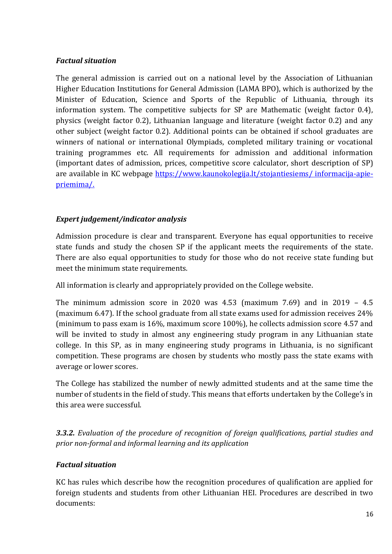## *Factual situation*

The general admission is carried out on a national level by the Association of Lithuanian Higher Education Institutions for General Admission (LAMA BPO), which is authorized by the Minister of Education, Science and Sports of the Republic of Lithuania, through its information system. The competitive subjects for SP are Mathematic (weight factor 0.4), physics (weight factor 0.2), Lithuanian language and literature (weight factor 0.2) and any other subject (weight factor 0.2). Additional points can be obtained if school graduates are winners of national or international Olympiads, completed military training or vocational training programmes etc. All requirements for admission and additional information (important dates of admission, prices, competitive score calculator, short description of SP) are available in KC webpage [https://www.kaunokolegija.lt/stojantiesiems/ informacija-apie](https://www.kaunokolegija.lt/stojantiesiems/%20informacija-apie-priemima/)[priemima/.](https://www.kaunokolegija.lt/stojantiesiems/%20informacija-apie-priemima/)

# *Expert judgement/indicator analysis*

Admission procedure is clear and transparent. Everyone has equal opportunities to receive state funds and study the chosen SP if the applicant meets the requirements of the state. There are also equal opportunities to study for those who do not receive state funding but meet the minimum state requirements.

All information is clearly and appropriately provided on the College website.

The minimum admission score in 2020 was 4.53 (maximum 7.69) and in 2019 – 4.5 (maximum 6.47). If the school graduate from all state exams used for admission receives 24% (minimum to pass exam is 16%, maximum score 100%), he collects admission score 4.57 and will be invited to study in almost any engineering study program in any Lithuanian state college. In this SP, as in many engineering study programs in Lithuania, is no significant competition. These programs are chosen by students who mostly pass the state exams with average or lower scores.

The College has stabilized the number of newly admitted students and at the same time the number of students in the field of study. This means that efforts undertaken by the College's in this area were successful.

*3.3.2. Evaluation of the procedure of recognition of foreign qualifications, partial studies and prior non-formal and informal learning and its application*

### *Factual situation*

KC has rules which describe how the recognition procedures of qualification are applied for foreign students and students from other Lithuanian HEI. Procedures are described in two documents: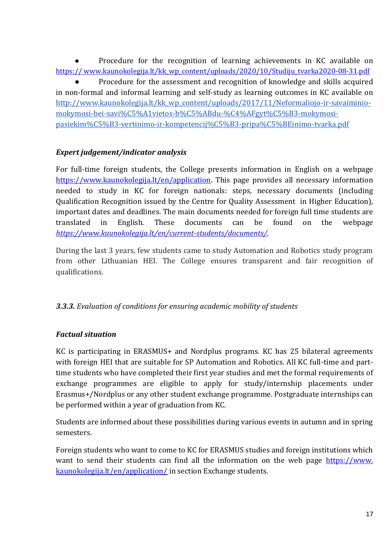Procedure for the recognition of learning achievements in KC available on [https:// www.kaunokolegija.lt/kk\\_wp\\_content/uploads/2020/10/Studiju\\_tvarka2020-08-31](https://www.kaunokolegija.lt/kk_wp_content/uploads/2020/10/Studiju_tvarka)[.pdf](https://www.kaunokolegija.lt/kk_wp_content/uploads/2020/10/Studiju_tvarka_)

Procedure for the assessment and recognition of knowledge and skills acquired in non-formal and informal learning and self-study as learning outcomes in KC available on [http://www.kaunokolegija.lt/kk\\_wp\\_content/uploads/2017/11/Neformaliojo-ir-savaiminio](http://www.kaunokolegija.lt/kk_wp_content/uploads/2017/11/Neformaliojo-ir-savaiminio-mokymosi-bei-savi%C5%A1vietos-b%C5%ABdu-%C4%AFgyt%C5%B3-mokymosi-pasiekim%C5%B3-vertinimo-ir-kompetencij%C5%B3-pripa%C5%BEinimo-tvarka.pdf)[mokymosi-bei-savi%C5%A1vietos-b%C5%ABdu-%C4%AFgyt%C5%B3-mokymosi](http://www.kaunokolegija.lt/kk_wp_content/uploads/2017/11/Neformaliojo-ir-savaiminio-mokymosi-bei-savi%C5%A1vietos-b%C5%ABdu-%C4%AFgyt%C5%B3-mokymosi-pasiekim%C5%B3-vertinimo-ir-kompetencij%C5%B3-pripa%C5%BEinimo-tvarka.pdf)[pasiekim%C5%B3-vertinimo-ir-kompetencij%C5%B3-pripa%C5%BEinimo-tvarka.pdf](http://www.kaunokolegija.lt/kk_wp_content/uploads/2017/11/Neformaliojo-ir-savaiminio-mokymosi-bei-savi%C5%A1vietos-b%C5%ABdu-%C4%AFgyt%C5%B3-mokymosi-pasiekim%C5%B3-vertinimo-ir-kompetencij%C5%B3-pripa%C5%BEinimo-tvarka.pdf) 

# *Expert judgement/indicator analysis*

For full-time foreign students, the College presents information in English on a webpage [https://www.kaunokolegija.lt/en/application.](https://www.kaunokolegija.lt/en/application) This page provides all necessary information needed to study in KC for foreign nationals: steps, necessary documents (including Qualification Recognition issued by the Centre for Quality Assessment in Higher Education), important dates and deadlines. The main documents needed for foreign full time students are translated in English. These documents can be found on the webpage *[https://www.kaunokolegija.lt/en/current-students/documents/.](https://www.kaunokolegija.lt/en/current-students/documents/)*

During the last 3 years, few students came to study Automation and Robotics study program from other Lithuanian HEI. The College ensures transparent and fair recognition of qualifications.

### *3.3.3. Evaluation of conditions for ensuring academic mobility of students*

### *Factual situation*

KC is participating in ERASMUS+ and Nordplus programs. KC has 25 bilateral agreements with foreign HEI that are suitable for SP Automation and Robotics. All KC full-time and parttime students who have completed their first year studies and met the formal requirements of exchange programmes are eligible to apply for study/internship placements under Erasmus+/Nordplus or any other student exchange programme. Postgraduate internships can be performed within a year of graduation from KC.

Students are informed about these possibilities during various events in autumn and in spring semesters.

Foreign students who want to come to KC for ERASMUS studies and foreign institutions which want to send their students can find all the information on the web page https://www. kaunokolegija.lt/en/application/ in section Exchange students.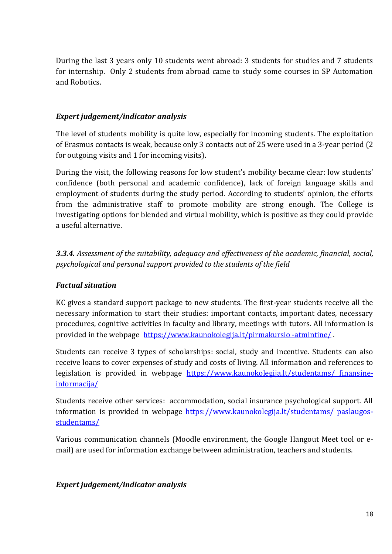During the last 3 years only 10 students went abroad: 3 students for studies and 7 students for internship. Only 2 students from abroad came to study some courses in SP Automation and Robotics.

## *Expert judgement/indicator analysis*

The level of students mobility is quite low, especially for incoming students. The exploitation of Erasmus contacts is weak, because only 3 contacts out of 25 were used in a 3-year period (2 for outgoing visits and 1 for incoming visits).

During the visit, the following reasons for low student's mobility became clear: low students' confidence (both personal and academic confidence), lack of foreign language skills and employment of students during the study period. According to students' opinion, the efforts from the administrative staff to promote mobility are strong enough. The College is investigating options for blended and virtual mobility, which is positive as they could provide a useful alternative.

*3.3.4. Assessment of the suitability, adequacy and effectiveness of the academic, financial, social, psychological and personal support provided to the students of the field*

# *Factual situation*

KC gives a standard support package to new students. The first-year students receive all the necessary information to start their studies: important contacts, important dates, necessary procedures, cognitive activities in faculty and library, meetings with tutors. All information is provided in the webpage https://www.kaunokolegija.lt/pirmakursio-atmintine/.

Students can receive 3 types of scholarships: social, study and incentive. Students can also receive loans to cover expenses of study and costs of living. All information and references to legislation is provided in webpage [https://www.kaunokolegija.lt/studentams/ finansine](https://www.kaunokolegija.lt/studentams/finansine-informacija/)[informacija/](https://www.kaunokolegija.lt/studentams/finansine-informacija/)

Students receive other services: accommodation, social insurance psychological support. All information is provided in webpage [https://www.kaunokolegija.lt/studentams/ paslaugos](https://www.kaunokolegija.lt/studentams/paslaugos-studentams/)[studentams/](https://www.kaunokolegija.lt/studentams/paslaugos-studentams/)

Various communication channels (Moodle environment, the Google Hangout Meet tool or email) are used for information exchange between administration, teachers and students.

### *Expert judgement/indicator analysis*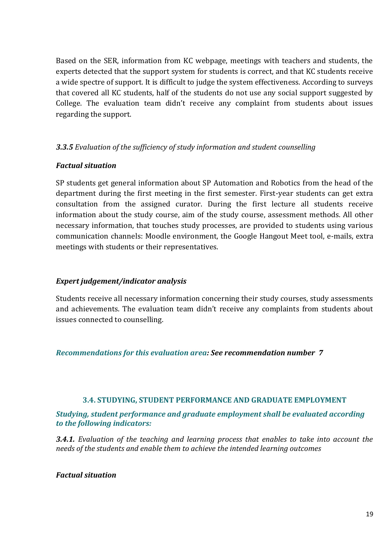Based on the SER, information from KC webpage, meetings with teachers and students, the experts detected that the support system for students is correct, and that KC students receive a wide spectre of support. It is difficult to judge the system effectiveness. According to surveys that covered all KC students, half of the students do not use any social support suggested by College. The evaluation team didn't receive any complaint from students about issues regarding the support.

### *3.3.5 Evaluation of the sufficiency of study information and student counselling*

#### *Factual situation*

SP students get general information about SP Automation and Robotics from the head of the department during the first meeting in the first semester. First-year students can get extra consultation from the assigned curator. During the first lecture all students receive information about the study course, aim of the study course, assessment methods. All other necessary information, that touches study processes, are provided to students using various communication channels: Moodle environment, the Google Hangout Meet tool, e-mails, extra meetings with students or their representatives.

#### *Expert judgement/indicator analysis*

Students receive all necessary information concerning their study courses, study assessments and achievements. The evaluation team didn't receive any complaints from students about issues connected to counselling.

*Recommendations for this evaluation area: See recommendation number 7*

#### **3.4. STUDYING, STUDENT PERFORMANCE AND GRADUATE EMPLOYMENT**

<span id="page-18-0"></span>*Studying, student performance and graduate employment shall be evaluated according to the following indicators:*

*3.4.1. Evaluation of the teaching and learning process that enables to take into account the needs of the students and enable them to achieve the intended learning outcomes*

#### *Factual situation*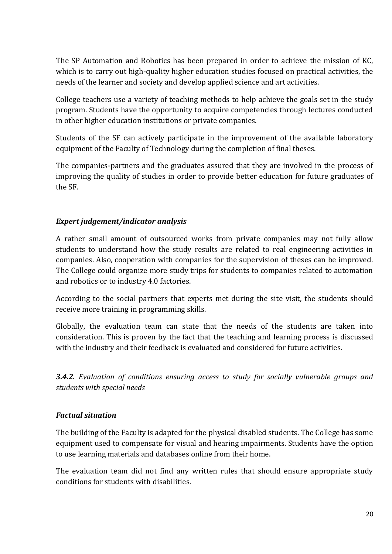The SP Automation and Robotics has been prepared in order to achieve the mission of KC, which is to carry out high-quality higher education studies focused on practical activities, the needs of the learner and society and develop applied science and art activities.

College teachers use a variety of teaching methods to help achieve the goals set in the study program. Students have the opportunity to acquire competencies through lectures conducted in other higher education institutions or private companies.

Students of the SF can actively participate in the improvement of the available laboratory equipment of the Faculty of Technology during the completion of final theses.

The companies-partners and the graduates assured that they are involved in the process of improving the quality of studies in order to provide better education for future graduates of the SF.

# *Expert judgement/indicator analysis*

A rather small amount of outsourced works from private companies may not fully allow students to understand how the study results are related to real engineering activities in companies. Also, cooperation with companies for the supervision of theses can be improved. The College could organize more study trips for students to companies related to automation and robotics or to industry 4.0 factories.

According to the social partners that experts met during the site visit, the students should receive more training in programming skills.

Globally, the evaluation team can state that the needs of the students are taken into consideration. This is proven by the fact that the teaching and learning process is discussed with the industry and their feedback is evaluated and considered for future activities.

*3.4.2. Evaluation of conditions ensuring access to study for socially vulnerable groups and students with special needs*

### *Factual situation*

The building of the Faculty is adapted for the physical disabled students. The College has some equipment used to compensate for visual and hearing impairments. Students have the option to use learning materials and databases online from their home.

The evaluation team did not find any written rules that should ensure appropriate study conditions for students with disabilities.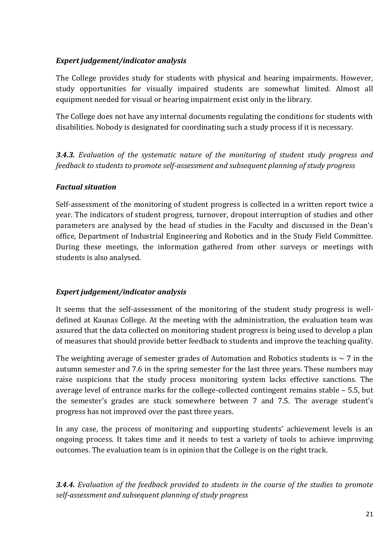## *Expert judgement/indicator analysis*

The College provides study for students with physical and hearing impairments. However, study opportunities for visually impaired students are somewhat limited. Almost all equipment needed for visual or hearing impairment exist only in the library.

The College does not have any internal documents regulating the conditions for students with disabilities. Nobody is designated for coordinating such a study process if it is necessary.

*3.4.3. Evaluation of the systematic nature of the monitoring of student study progress and feedback to students to promote self-assessment and subsequent planning of study progress*

### *Factual situation*

Self-assessment of the monitoring of student progress is collected in a written report twice a year. The indicators of student progress, turnover, dropout interruption of studies and other parameters are analysed by the head of studies in the Faculty and discussed in the Dean's office, Department of Industrial Engineering and Robotics and in the Study Field Committee. During these meetings, the information gathered from other surveys or meetings with students is also analysed.

### *Expert judgement/indicator analysis*

It seems that the self-assessment of the monitoring of the student study progress is welldefined at Kaunas College. At the meeting with the administration, the evaluation team was assured that the data collected on monitoring student progress is being used to develop a plan of measures that should provide better feedback to students and improve the teaching quality.

The weighting average of semester grades of Automation and Robotics students is  $\sim$  7 in the autumn semester and 7.6 in the spring semester for the last three years. These numbers may raise suspicions that the study process monitoring system lacks effective sanctions. The average level of entrance marks for the college-collected contingent remains stable – 5.5, but the semester's grades are stuck somewhere between 7 and 7.5. The average student's progress has not improved over the past three years.

In any case, the process of monitoring and supporting students' achievement levels is an ongoing process. It takes time and it needs to test a variety of tools to achieve improving outcomes. The evaluation team is in opinion that the College is on the right track.

*3.4.4. Evaluation of the feedback provided to students in the course of the studies to promote self-assessment and subsequent planning of study progress*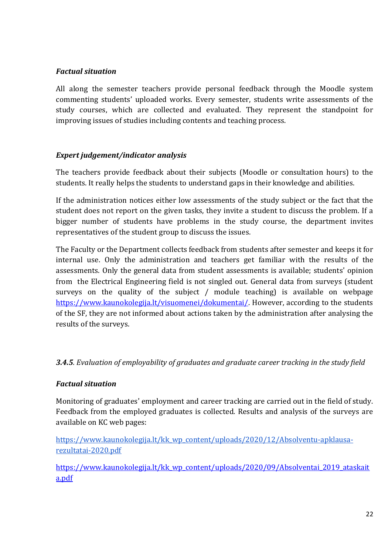## *Factual situation*

All along the semester teachers provide personal feedback through the Moodle system commenting students' uploaded works. Every semester, students write assessments of the study courses, which are collected and evaluated. They represent the standpoint for improving issues of studies including contents and teaching process.

# *Expert judgement/indicator analysis*

The teachers provide feedback about their subjects (Moodle or consultation hours) to the students. It really helps the students to understand gaps in their knowledge and abilities.

If the administration notices either low assessments of the study subject or the fact that the student does not report on the given tasks, they invite a student to discuss the problem. If a bigger number of students have problems in the study course, the department invites representatives of the student group to discuss the issues.

The Faculty or the Department collects feedback from students after semester and keeps it for internal use. Only the administration and teachers get familiar with the results of the assessments. Only the general data from student assessments is available; students' opinion from the Electrical Engineering field is not singled out. General data from surveys (student surveys on the quality of the subject / module teaching) is available on webpage [https://www.kaunokolegija.lt/visuomenei/dokumentai/.](https://www.kaunokolegija.lt/visuomenei/dokumentai/) However, according to the students of the SF, they are not informed about actions taken by the administration after analysing the results of the surveys.

### *3.4.5. Evaluation of employability of graduates and graduate career tracking in the study field*

### *Factual situation*

Monitoring of graduates' employment and career tracking are carried out in the field of study. Feedback from the employed graduates is collected. Results and analysis of the surveys are available on KC web pages:

[https://www.kaunokolegija.lt/kk\\_wp\\_content/uploads/2020/12/Absolventu-apklausa](https://www.kaunokolegija.lt/kk_wp_content/uploads/2020/12/Absolventu-apklausa-rezultatai-2020.pdf)[rezultatai-2020.pdf](https://www.kaunokolegija.lt/kk_wp_content/uploads/2020/12/Absolventu-apklausa-rezultatai-2020.pdf)

https://www.kaunokolegija.lt/kk wp\_content/uploads/2020/09/Absolventai\_2019\_ataskait a.pdf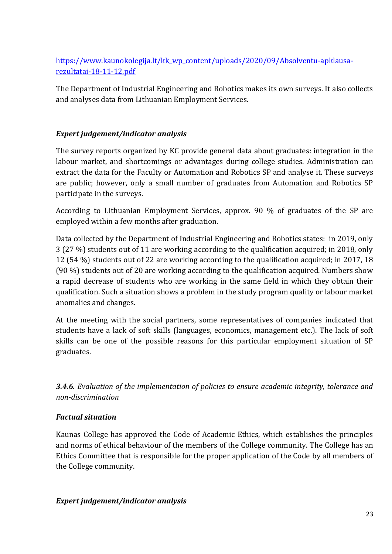https://www.kaunokolegija.lt/kk\_wp\_content/uploads/2020/09/Absolventu-apklausarezultatai-18-11-12.pdf

The Department of Industrial Engineering and Robotics makes its own surveys. It also collects and analyses data from Lithuanian Employment Services.

# *Expert judgement/indicator analysis*

The survey reports organized by KC provide general data about graduates: integration in the labour market, and shortcomings or advantages during college studies. Administration can extract the data for the Faculty or Automation and Robotics SP and analyse it. These surveys are public; however, only a small number of graduates from Automation and Robotics SP participate in the surveys.

According to Lithuanian Employment Services, approx. 90 % of graduates of the SP are employed within a few months after graduation.

Data collected by the Department of Industrial Engineering and Robotics states: in 2019, only 3 (27 %) students out of 11 are working according to the qualification acquired; in 2018, only 12 (54 %) students out of 22 are working according to the qualification acquired; in 2017, 18 (90 %) students out of 20 are working according to the qualification acquired. Numbers show a rapid decrease of students who are working in the same field in which they obtain their qualification. Such a situation shows a problem in the study program quality or labour market anomalies and changes.

At the meeting with the social partners, some representatives of companies indicated that students have a lack of soft skills (languages, economics, management etc.). The lack of soft skills can be one of the possible reasons for this particular employment situation of SP graduates.

*3.4.6. Evaluation of the implementation of policies to ensure academic integrity, tolerance and non-discrimination*

### *Factual situation*

Kaunas College has approved the Code of Academic Ethics, which establishes the principles and norms of ethical behaviour of the members of the College community. The College has an Ethics Committee that is responsible for the proper application of the Code by all members of the College community.

### *Expert judgement/indicator analysis*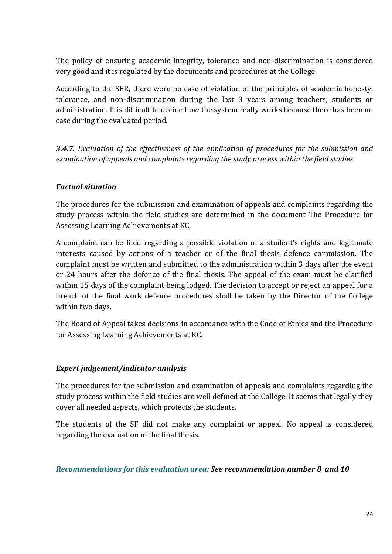The policy of ensuring academic integrity, tolerance and non-discrimination is considered very good and it is regulated by the documents and procedures at the College.

According to the SER, there were no case of violation of the principles of academic honesty, tolerance, and non-discrimination during the last 3 years among teachers, students or administration. It is difficult to decide how the system really works because there has been no case during the evaluated period.

*3.4.7. Evaluation of the effectiveness of the application of procedures for the submission and examination of appeals and complaints regarding the study process within the field studies*

# *Factual situation*

The procedures for the submission and examination of appeals and complaints regarding the study process within the field studies are determined in the document The Procedure for Assessing Learning Achievements at KC.

A complaint can be filed regarding a possible violation of a student's rights and legitimate interests caused by actions of a teacher or of the final thesis defence commission. The complaint must be written and submitted to the administration within 3 days after the event or 24 hours after the defence of the final thesis. The appeal of the exam must be clarified within 15 days of the complaint being lodged. The decision to accept or reject an appeal for a breach of the final work defence procedures shall be taken by the Director of the College within two days.

The Board of Appeal takes decisions in accordance with the Code of Ethics and the Procedure for Assessing Learning Achievements at KC.

### *Expert judgement/indicator analysis*

The procedures for the submission and examination of appeals and complaints regarding the study process within the field studies are well defined at the College. It seems that legally they cover all needed aspects, which protects the students.

The students of the SF did not make any complaint or appeal. No appeal is considered regarding the evaluation of the final thesis.

#### *Recommendations for this evaluation area: See recommendation number 8 and 10*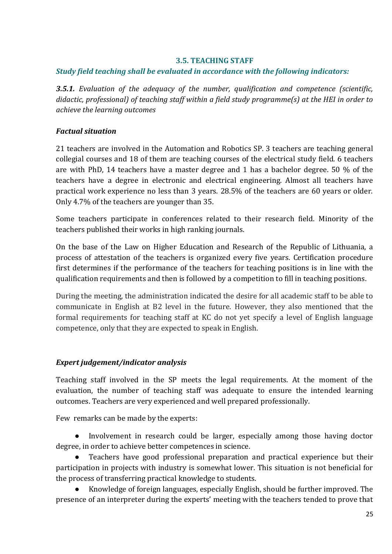#### **3.5. TEACHING STAFF**

### <span id="page-24-0"></span>*Study field teaching shall be evaluated in accordance with the following indicators:*

*3.5.1. Evaluation of the adequacy of the number, qualification and competence (scientific, didactic, professional) of teaching staff within a field study programme(s) at the HEI in order to achieve the learning outcomes*

## *Factual situation*

21 teachers are involved in the Automation and Robotics SP. 3 teachers are teaching general collegial courses and 18 of them are teaching courses of the electrical study field. 6 teachers are with PhD, 14 teachers have a master degree and 1 has a bachelor degree. 50 % of the teachers have a degree in electronic and electrical engineering. Almost all teachers have practical work experience no less than 3 years. 28.5% of the teachers are 60 years or older. Only 4.7% of the teachers are younger than 35.

Some teachers participate in conferences related to their research field. Minority of the teachers published their works in high ranking journals.

On the base of the Law on Higher Education and Research of the Republic of Lithuania, a process of attestation of the teachers is organized every five years. Certification procedure first determines if the performance of the teachers for teaching positions is in line with the qualification requirements and then is followed by a competition to fill in teaching positions.

During the meeting, the administration indicated the desire for all academic staff to be able to communicate in English at B2 level in the future. However, they also mentioned that the formal requirements for teaching staff at KC do not yet specify a level of English language competence, only that they are expected to speak in English.

### *Expert judgement/indicator analysis*

Teaching staff involved in the SP meets the legal requirements. At the moment of the evaluation, the number of teaching staff was adequate to ensure the intended learning outcomes. Teachers are very experienced and well prepared professionally.

Few remarks can be made by the experts:

Involvement in research could be larger, especially among those having doctor degree, in order to achieve better competences in science.

Teachers have good professional preparation and practical experience but their participation in projects with industry is somewhat lower. This situation is not beneficial for the process of transferring practical knowledge to students.

Knowledge of foreign languages, especially English, should be further improved. The presence of an interpreter during the experts' meeting with the teachers tended to prove that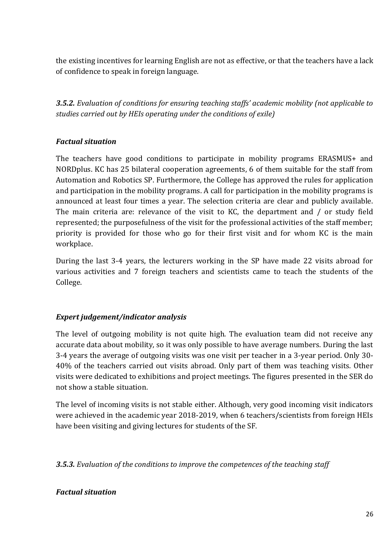the existing incentives for learning English are not as effective, or that the teachers have a lack of confidence to speak in foreign language.

*3.5.2. Evaluation of conditions for ensuring teaching staffs' academic mobility (not applicable to studies carried out by HEIs operating under the conditions of exile)*

# *Factual situation*

The teachers have good conditions to participate in mobility programs ERASMUS+ and NORDplus. KC has 25 bilateral cooperation agreements, 6 of them suitable for the staff from Automation and Robotics SP. Furthermore, the College has approved the rules for application and participation in the mobility programs. A call for participation in the mobility programs is announced at least four times a year. The selection criteria are clear and publicly available. The main criteria are: relevance of the visit to KC, the department and / or study field represented; the purposefulness of the visit for the professional activities of the staff member; priority is provided for those who go for their first visit and for whom KC is the main workplace.

During the last 3-4 years, the lecturers working in the SP have made 22 visits abroad for various activities and 7 foreign teachers and scientists came to teach the students of the College.

### *Expert judgement/indicator analysis*

The level of outgoing mobility is not quite high. The evaluation team did not receive any accurate data about mobility, so it was only possible to have average numbers. During the last 3-4 years the average of outgoing visits was one visit per teacher in a 3-year period. Only 30- 40% of the teachers carried out visits abroad. Only part of them was teaching visits. Other visits were dedicated to exhibitions and project meetings. The figures presented in the SER do not show a stable situation.

The level of incoming visits is not stable either. Although, very good incoming visit indicators were achieved in the academic year 2018-2019, when 6 teachers/scientists from foreign HEIs have been visiting and giving lectures for students of the SF.

*3.5.3. Evaluation of the conditions to improve the competences of the teaching staff*

### *Factual situation*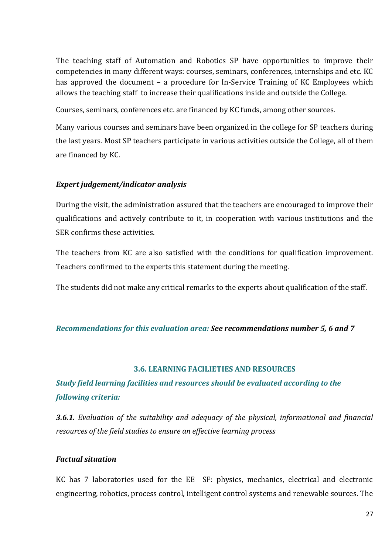The teaching staff of Automation and Robotics SP have opportunities to improve their competencies in many different ways: courses, seminars, conferences, internships and etc. KC has approved the document – a procedure for In-Service Training of KC Employees which allows the teaching staff to increase their qualifications inside and outside the College.

Courses, seminars, conferences etc. are financed by KC funds, among other sources.

Many various courses and seminars have been organized in the college for SP teachers during the last years. Most SP teachers participate in various activities outside the College, all of them are financed by KC.

#### *Expert judgement/indicator analysis*

During the visit, the administration assured that the teachers are encouraged to improve their qualifications and actively contribute to it, in cooperation with various institutions and the SER confirms these activities.

The teachers from KC are also satisfied with the conditions for qualification improvement. Teachers confirmed to the experts this statement during the meeting.

The students did not make any critical remarks to the experts about qualification of the staff.

#### *Recommendations for this evaluation area: See recommendations number 5, 6 and 7*

#### **3.6. LEARNING FACILIETIES AND RESOURCES**

# <span id="page-26-0"></span>*Study field learning facilities and resources should be evaluated according to the following criteria:*

*3.6.1. Evaluation of the suitability and adequacy of the physical, informational and financial resources of the field studies to ensure an effective learning process*

#### *Factual situation*

KC has 7 laboratories used for the EE SF: physics, mechanics, electrical and electronic engineering, robotics, process control, intelligent control systems and renewable sources. The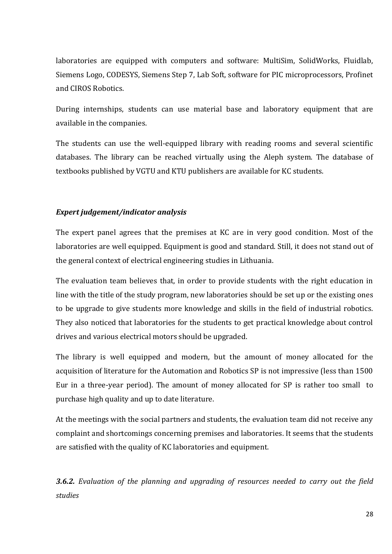laboratories are equipped with computers and software: MultiSim, SolidWorks, Fluidlab, Siemens Logo, CODESYS, Siemens Step 7, Lab Soft, software for PIC microprocessors, Profinet and CIROS Robotics.

During internships, students can use material base and laboratory equipment that are available in the companies.

The students can use the well-equipped library with reading rooms and several scientific databases. The library can be reached virtually using the Aleph system. The database of textbooks published by VGTU and KTU publishers are available for KC students.

### *Expert judgement/indicator analysis*

The expert panel agrees that the premises at KC are in very good condition. Most of the laboratories are well equipped. Equipment is good and standard. Still, it does not stand out of the general context of electrical engineering studies in Lithuania.

The evaluation team believes that, in order to provide students with the right education in line with the title of the study program, new laboratories should be set up or the existing ones to be upgrade to give students more knowledge and skills in the field of industrial robotics. They also noticed that laboratories for the students to get practical knowledge about control drives and various electrical motors should be upgraded.

The library is well equipped and modern, but the amount of money allocated for the acquisition of literature for the Automation and Robotics SP is not impressive (less than 1500 Eur in a three-year period). The amount of money allocated for SP is rather too small to purchase high quality and up to date literature.

At the meetings with the social partners and students, the evaluation team did not receive any complaint and shortcomings concerning premises and laboratories. It seems that the students are satisfied with the quality of KC laboratories and equipment.

*3.6.2. Evaluation of the planning and upgrading of resources needed to carry out the field studies*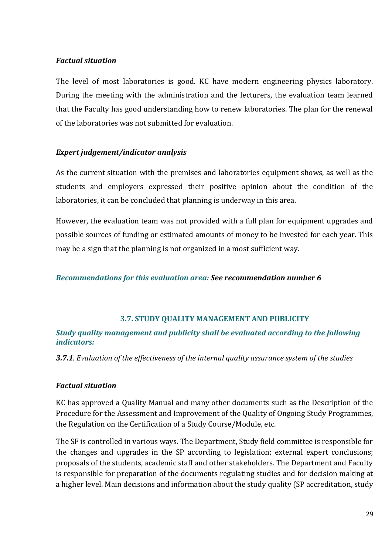#### *Factual situation*

The level of most laboratories is good. KC have modern engineering physics laboratory. During the meeting with the administration and the lecturers, the evaluation team learned that the Faculty has good understanding how to renew laboratories. The plan for the renewal of the laboratories was not submitted for evaluation.

### *Expert judgement/indicator analysis*

As the current situation with the premises and laboratories equipment shows, as well as the students and employers expressed their positive opinion about the condition of the laboratories, it can be concluded that planning is underway in this area.

However, the evaluation team was not provided with a full plan for equipment upgrades and possible sources of funding or estimated amounts of money to be invested for each year. This may be a sign that the planning is not organized in a most sufficient way.

### *Recommendations for this evaluation area: See recommendation number 6*

### **3.7. STUDY QUALITY MANAGEMENT AND PUBLICITY**

#### <span id="page-28-0"></span>*Study quality management and publicity shall be evaluated according to the following indicators:*

*3.7.1. Evaluation of the effectiveness of the internal quality assurance system of the studies*

### *Factual situation*

KC has approved a Quality Manual and many other documents such as the Description of the Procedure for the Assessment and Improvement of the Quality of Ongoing Study Programmes, the Regulation on the Certification of a Study Course/Module, etc.

The SF is controlled in various ways. The Department, Study field committee is responsible for the changes and upgrades in the SP according to legislation; external expert conclusions; proposals of the students, academic staff and other stakeholders. The Department and Faculty is responsible for preparation of the documents regulating studies and for decision making at a higher level. Main decisions and information about the study quality (SP accreditation, study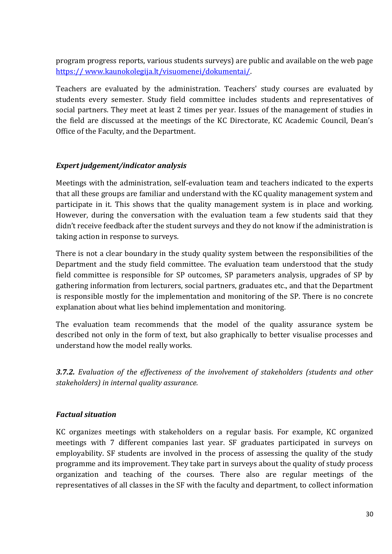program progress reports, various students surveys) are public and available on the web pag[e](https://www.kaunokolegija.lt/visuomenei/dokumentai/) [https:// www.kaunokolegija.lt/visuomenei/dokumentai/.](https://www.kaunokolegija.lt/visuomenei/dokumentai/)

Teachers are evaluated by the administration. Teachers' study courses are evaluated by students every semester. Study field committee includes students and representatives of social partners. They meet at least 2 times per year. Issues of the management of studies in the field are discussed at the meetings of the KC Directorate, KC Academic Council, Dean's Office of the Faculty, and the Department.

#### *Expert judgement/indicator analysis*

Meetings with the administration, self-evaluation team and teachers indicated to the experts that all these groups are familiar and understand with the KC quality management system and participate in it. This shows that the quality management system is in place and working. However, during the conversation with the evaluation team a few students said that they didn't receive feedback after the student surveys and they do not know if the administration is taking action in response to surveys.

There is not a clear boundary in the study quality system between the responsibilities of the Department and the study field committee. The evaluation team understood that the study field committee is responsible for SP outcomes, SP parameters analysis, upgrades of SP by gathering information from lecturers, social partners, graduates etc., and that the Department is responsible mostly for the implementation and monitoring of the SP. There is no concrete explanation about what lies behind implementation and monitoring.

The evaluation team recommends that the model of the quality assurance system be described not only in the form of text, but also graphically to better visualise processes and understand how the model really works.

*3.7.2. Evaluation of the effectiveness of the involvement of stakeholders (students and other stakeholders) in internal quality assurance.* 

### *Factual situation*

KC organizes meetings with stakeholders on a regular basis. For example, KC organized meetings with 7 different companies last year. SF graduates participated in surveys on employability. SF students are involved in the process of assessing the quality of the study programme and its improvement. They take part in surveys about the quality of study process organization and teaching of the courses. There also are regular meetings of the representatives of all classes in the SF with the faculty and department, to collect information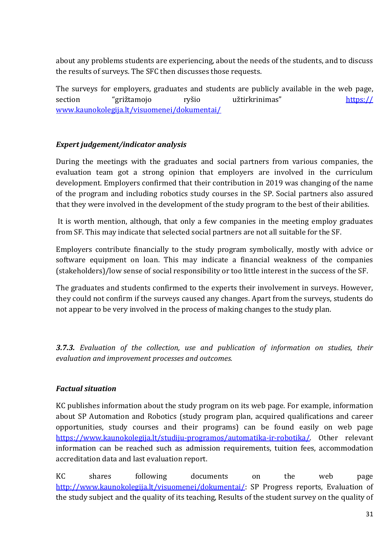about any problems students are experiencing, about the needs of the students, and to discuss the results of surveys. The SFC then discusses those requests.

The surveys for employers, graduates and students are publicly available in the web page, section "grižtamojo ryšio užtirkrinimas" [https://](https://www.kaunokolegija.lt/%20visuomenei/dokumentai/)  [www.kaunokolegija.lt/visuomenei/dokumentai/](https://www.kaunokolegija.lt/%20visuomenei/dokumentai/)

# *Expert judgement/indicator analysis*

During the meetings with the graduates and social partners from various companies, the evaluation team got a strong opinion that employers are involved in the curriculum development. Employers confirmed that their contribution in 2019 was changing of the name of the program and including robotics study courses in the SP. Social partners also assured that they were involved in the development of the study program to the best of their abilities.

It is worth mention, although, that only a few companies in the meeting employ graduates from SF. This may indicate that selected social partners are not all suitable for the SF.

Employers contribute financially to the study program symbolically, mostly with advice or software equipment on loan. This may indicate a financial weakness of the companies (stakeholders)/low sense of social responsibility or too little interest in the success of the SF.

The graduates and students confirmed to the experts their involvement in surveys. However, they could not confirm if the surveys caused any changes. Apart from the surveys, students do not appear to be very involved in the process of making changes to the study plan.

*3.7.3. Evaluation of the collection, use and publication of information on studies, their evaluation and improvement processes and outcomes.*

### *Factual situation*

KC publishes information about the study program on its web page. For example, information about SP Automation and Robotics (study program plan, acquired qualifications and career opportunities, study courses and their programs) can be found easily on web page [https://www.kaunokolegija.lt/studiju-programos/automatika-ir-robotika/.](https://www.kaunokolegija.lt/studiju-programos/automatika-ir-robotika/) Other relevant information can be reached such as admission requirements, tuition fees, accommodation accreditation data and last evaluation report.

KC shares following documents on the web page [http://www.kaunokolegija.lt/visuomenei/dokumentai/:](http://www.kaunokolegija.lt/visuomenei/dokumentai/) SP Progress reports, Evaluation of the study subject and the quality of its teaching, Results of the student survey on the quality of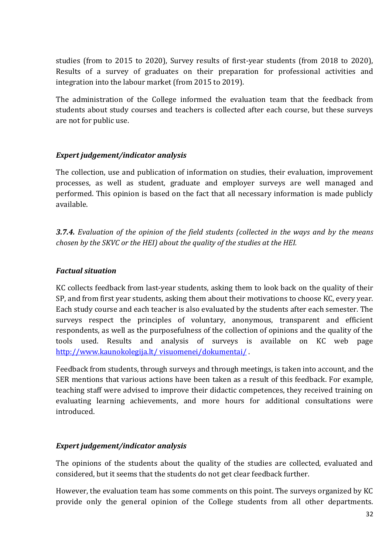studies (from to 2015 to 2020), Survey results of first-year students (from 2018 to 2020), Results of a survey of graduates on their preparation for professional activities and integration into the labour market (from 2015 to 2019).

The administration of the College informed the evaluation team that the feedback from students about study courses and teachers is collected after each course, but these surveys are not for public use.

### *Expert judgement/indicator analysis*

The collection, use and publication of information on studies, their evaluation, improvement processes, as well as student, graduate and employer surveys are well managed and performed. This opinion is based on the fact that all necessary information is made publicly available.

*3.7.4. Evaluation of the opinion of the field students (collected in the ways and by the means chosen by the SKVC or the HEI) about the quality of the studies at the HEI.*

### *Factual situation*

KC collects feedback from last-year students, asking them to look back on the quality of their SP, and from first year students, asking them about their motivations to choose KC, every year. Each study course and each teacher is also evaluated by the students after each semester. The surveys respect the principles of voluntary, anonymous, transparent and efficient respondents, as well as the purposefulness of the collection of opinions and the quality of the tools used. Results and analysis of surveys is available on KC web page [http://www.kaunokolegija.lt/ visuomenei/dokumentai/](http://www.kaunokolegija.lt/%20visuomenei/dokumentai/) .

Feedback from students, through surveys and through meetings, is taken into account, and the SER mentions that various actions have been taken as a result of this feedback. For example, teaching staff were advised to improve their didactic competences, they received training on evaluating learning achievements, and more hours for additional consultations were introduced.

### *Expert judgement/indicator analysis*

The opinions of the students about the quality of the studies are collected, evaluated and considered, but it seems that the students do not get clear feedback further.

However, the evaluation team has some comments on this point. The surveys organized by KC provide only the general opinion of the College students from all other departments.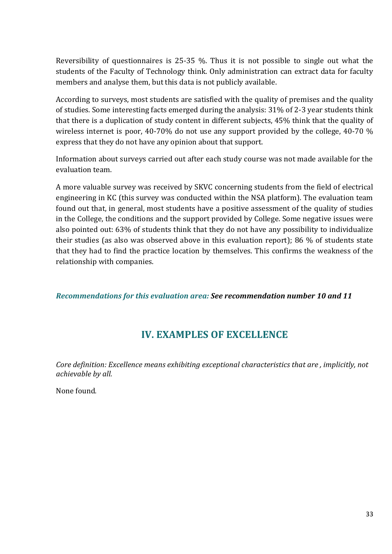Reversibility of questionnaires is 25-35 %. Thus it is not possible to single out what the students of the Faculty of Technology think. Only administration can extract data for faculty members and analyse them, but this data is not publicly available.

According to surveys, most students are satisfied with the quality of premises and the quality of studies. Some interesting facts emerged during the analysis: 31% of 2-3 year students think that there is a duplication of study content in different subjects, 45% think that the quality of wireless internet is poor, 40-70% do not use any support provided by the college, 40-70 % express that they do not have any opinion about that support.

Information about surveys carried out after each study course was not made available for the evaluation team.

A more valuable survey was received by SKVC concerning students from the field of electrical engineering in KC (this survey was conducted within the NSA platform). The evaluation team found out that, in general, most students have a positive assessment of the quality of studies in the College, the conditions and the support provided by College. Some negative issues were also pointed out: 63% of students think that they do not have any possibility to individualize their studies (as also was observed above in this evaluation report); 86 % of students state that they had to find the practice location by themselves. This confirms the weakness of the relationship with companies.

*Recommendations for this evaluation area: See recommendation number 10 and 11*

# **IV. EXAMPLES OF EXCELLENCE**

<span id="page-32-0"></span>*Core definition: Excellence means exhibiting exceptional characteristics that are , implicitly, not achievable by all.*

None found.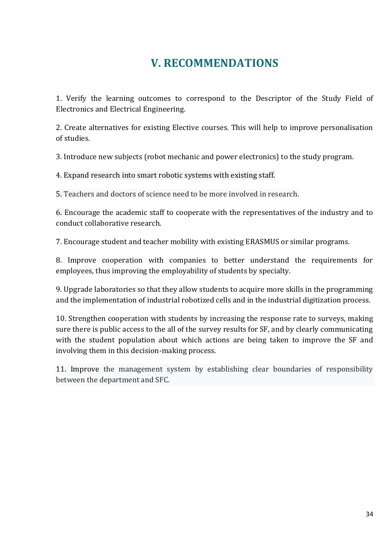# **V. RECOMMENDATIONS**

<span id="page-33-0"></span>1. Verify the learning outcomes to correspond to the Descriptor of the Study Field of Electronics and Electrical Engineering.

2. Create alternatives for existing Elective courses. This will help to improve personalisation of studies.

3. Introduce new subjects (robot mechanic and power electronics) to the study program.

4. Expand research into smart robotic systems with existing staff.

5. Teachers and doctors of science need to be more involved in research.

6. Encourage the academic staff to cooperate with the representatives of the industry and to conduct collaborative research.

7. Encourage student and teacher mobility with existing ERASMUS or similar programs.

8. Improve cooperation with companies to better understand the requirements for employees, thus improving the employability of students by specialty.

9. Upgrade laboratories so that they allow students to acquire more skills in the programming and the implementation of industrial robotized cells and in the industrial digitization process.

10. Strengthen cooperation with students by increasing the response rate to surveys, making sure there is public access to the all of the survey results for SF, and by clearly communicating with the student population about which actions are being taken to improve the SF and involving them in this decision-making process.

11. Improve the management system by establishing clear boundaries of responsibility between the department and SFC.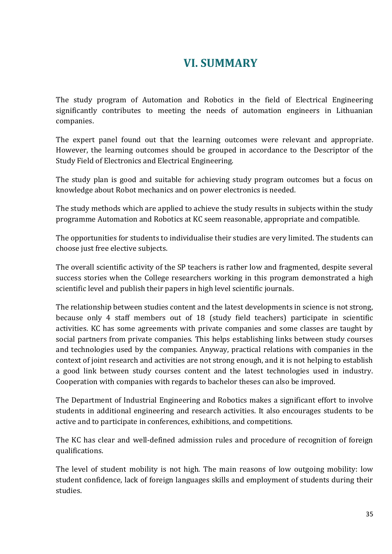# **VI. SUMMARY**

<span id="page-34-0"></span>The study program of Automation and Robotics in the field of Electrical Engineering significantly contributes to meeting the needs of automation engineers in Lithuanian companies.

The expert panel found out that the learning outcomes were relevant and appropriate. However, the learning outcomes should be grouped in accordance to the Descriptor of the Study Field of Electronics and Electrical Engineering.

The study plan is good and suitable for achieving study program outcomes but a focus on knowledge about Robot mechanics and on power electronics is needed.

The study methods which are applied to achieve the study results in subjects within the study programme Automation and Robotics at KC seem reasonable, appropriate and compatible.

The opportunities for students to individualise their studies are very limited. The students can choose just free elective subjects.

The overall scientific activity of the SP teachers is rather low and fragmented, despite several success stories when the College researchers working in this program demonstrated a high scientific level and publish their papers in high level scientific journals.

The relationship between studies content and the latest developments in science is not strong, because only 4 staff members out of 18 (study field teachers) participate in scientific activities. KC has some agreements with private companies and some classes are taught by social partners from private companies. This helps establishing links between study courses and technologies used by the companies. Anyway, practical relations with companies in the context of joint research and activities are not strong enough, and it is not helping to establish a good link between study courses content and the latest technologies used in industry. Cooperation with companies with regards to bachelor theses can also be improved.

The Department of Industrial Engineering and Robotics makes a significant effort to involve students in additional engineering and research activities. It also encourages students to be active and to participate in conferences, exhibitions, and competitions.

The KC has clear and well-defined admission rules and procedure of recognition of foreign qualifications.

The level of student mobility is not high. The main reasons of low outgoing mobility: low student confidence, lack of foreign languages skills and employment of students during their studies.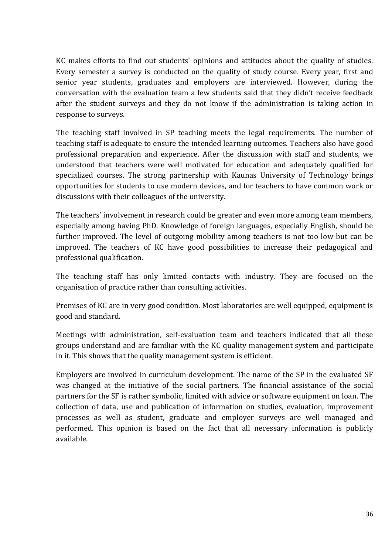KC makes efforts to find out students' opinions and attitudes about the quality of studies. Every semester a survey is conducted on the quality of study course. Every year, first and senior year students, graduates and employers are interviewed. However, during the conversation with the evaluation team a few students said that they didn't receive feedback after the student surveys and they do not know if the administration is taking action in response to surveys.

The teaching staff involved in SP teaching meets the legal requirements. The number of teaching staff is adequate to ensure the intended learning outcomes. Teachers also have good professional preparation and experience. After the discussion with staff and students, we understood that teachers were well motivated for education and adequately qualified for specialized courses. The strong partnership with Kaunas University of Technology brings opportunities for students to use modern devices, and for teachers to have common work or discussions with their colleagues of the university.

The teachers' involvement in research could be greater and even more among team members, especially among having PhD. Knowledge of foreign languages, especially English, should be further improved. The level of outgoing mobility among teachers is not too low but can be improved. The teachers of KC have good possibilities to increase their pedagogical and professional qualification.

The teaching staff has only limited contacts with industry. They are focused on the organisation of practice rather than consulting activities.

Premises of KC are in very good condition. Most laboratories are well equipped, equipment is good and standard.

Meetings with administration, self-evaluation team and teachers indicated that all these groups understand and are familiar with the KC quality management system and participate in it. This shows that the quality management system is efficient.

Employers are involved in curriculum development. The name of the SP in the evaluated SF was changed at the initiative of the social partners. The financial assistance of the social partners for the SF is rather symbolic, limited with advice or software equipment on loan. The collection of data, use and publication of information on studies, evaluation, improvement processes as well as student, graduate and employer surveys are well managed and performed. This opinion is based on the fact that all necessary information is publicly available.